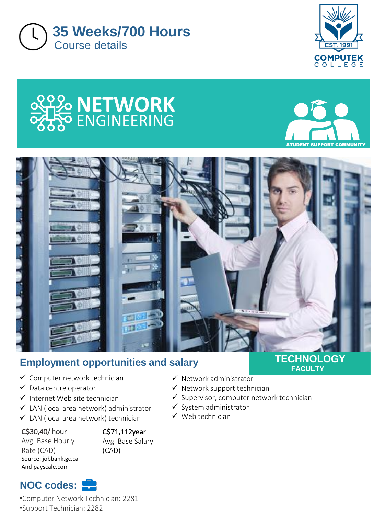









# **Employment opportunities and salary**

- ✓ Computer network technician
- ✓ Data centre operator
- $\checkmark$  Internet Web site technician
- $\checkmark$  LAN (local area network) administrator
- $\checkmark$  LAN (local area network) technician

C\$30,40/ hour

#### Avg. Base Hourly Rate (CAD) Source: jobbank.gc.ca And payscale.com

**NOC codes:**

C\$71,112year

Avg. Base Salary (CAD)

### **TECHNOLOGY FACULTY**

- ✓ Network administrator
- $\checkmark$  Network support technician
- $\checkmark$  Supervisor, computer network technician
- ✓ System administrator
- $\checkmark$  Web technician

•Computer Network Technician: 2281 •Support Technician: 2282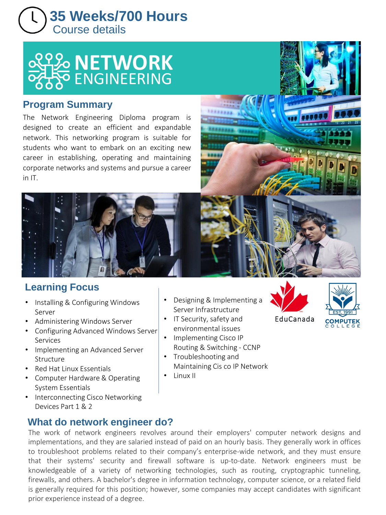



## **Program Summary**

The Network Engineering Diploma program is designed to create an efficient and expandable network. This networking program is suitable for students who want to embark on an exciting new career in establishing, operating and maintaining corporate networks and systems and pursue a career in IT.



# **Learning Focus**

- Installing & Configuring Windows Server
- Administering Windows Server
- Configuring Advanced Windows Server Services
- Implementing an Advanced Server Structure
- Red Hat Linux Essentials
- Computer Hardware & Operating System Essentials
- Interconnecting Cisco Networking Devices Part 1 & 2

# **What do network engineer do?**

• Designing & Implementing a Server Infrastructure

- IT Security, safety and environmental issues
- Implementing Cisco IP Routing & Switching - CCNP
- Troubleshooting and Maintaining Cis co IP Network
- Linux II





EduCanada

The work of network engineers revolves around their employers' computer network designs and implementations, and they are salaried instead of paid on an hourly basis. They generally work in offices to troubleshoot problems related to their company's enterprise-wide network, and they must ensure that their systems' security and firewall software is up-to-date. Network engineers must be knowledgeable of a variety of networking technologies, such as routing, cryptographic tunneling, firewalls, and others. A bachelor's degree in information technology, computer science, or a related field is generally required for this position; however, some companies may accept candidates with significant prior experience instead of a degree.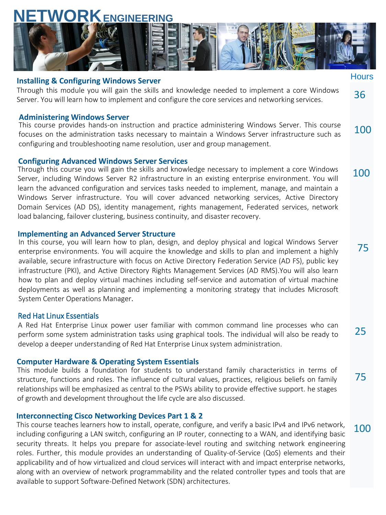# **NETWORK ENGINEERING**



#### **Installing & Configuring Windows Server**

Through this module you will gain the skills and knowledge needed to implement a core Windows Server. You will learn how to implement and configure the core services and networking services. 36

#### **Administering Windows Server**

100 This course provides hands-on instruction and practice administering Windows Server. This course focuses on the administration tasks necessary to maintain a Windows Server infrastructure such as configuring and troubleshooting name resolution, user and group management.

100

**Hours** 

75

25

75

100

#### **Configuring Advanced Windows Server Services**

Through this course you will gain the skills and knowledge necessary to implement a core Windows Server, including Windows Server R2 infrastructure in an existing enterprise environment. You will learn the advanced configuration and services tasks needed to implement, manage, and maintain a Windows Server infrastructure. You will cover advanced networking services, Active Directory Domain Services (AD DS), identity management, rights management, Federated services, network load balancing, failover clustering, business continuity, and disaster recovery.

#### **Implementing an Advanced Server Structure**

In this course, you will learn how to plan, design, and deploy physical and logical Windows Server enterprise environments. You will acquire the knowledge and skills to plan and implement a highly available, secure infrastructure with focus on Active Directory Federation Service (AD FS), public key infrastructure (PKI), and Active Directory Rights Management Services (AD RMS).You will also learn how to plan and deploy virtual machines including self-service and automation of virtual machine deployments as well as planning and implementing a monitoring strategy that includes Microsoft System Center Operations Manager.

#### Red Hat Linux Essentials

A Red Hat Enterprise Linux power user familiar with common command line processes who can perform some system administration tasks using graphical tools. The individual will also be ready to develop a deeper understanding of Red Hat Enterprise Linux system administration.

#### **Computer Hardware & Operating System Essentials**

This module builds a foundation for students to understand family characteristics in terms of structure, functions and roles. The influence of cultural values, practices, religious beliefs on family relationships will be emphasized as central to the PSWs ability to provide effective support. he stages of growth and development throughout the life cycle are also discussed.

#### **Interconnecting Cisco Networking Devices Part 1 & 2**

This course teaches learners how to install, operate, configure, and verify a basic IPv4 and IPv6 network, including configuring a LAN switch, configuring an IP router, connecting to a WAN, and identifying basic security threats. It helps you prepare for associate-level routing and switching network engineering roles. Further, this module provides an understanding of Quality-of-Service (QoS) elements and their applicability and of how virtualized and cloud services will interact with and impact enterprise networks, along with an overview of network programmability and the related controller types and tools that are available to support Software-Defined Network (SDN) architectures.